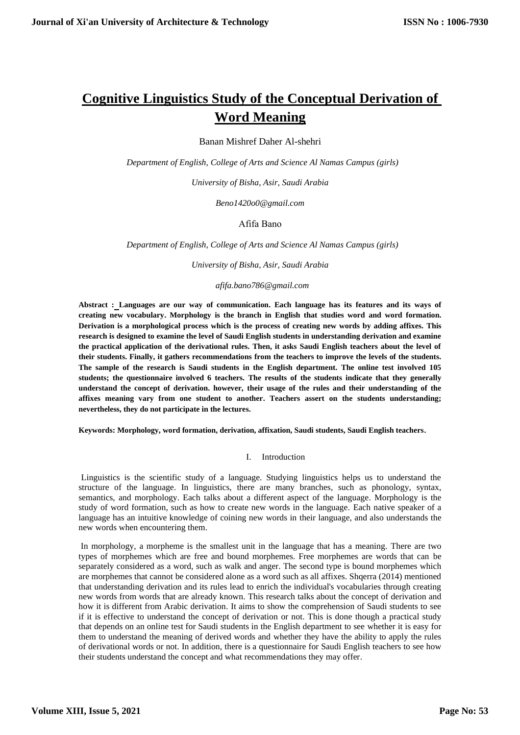# **Cognitive Linguistics Study of the Conceptual Derivation of Word Meaning**

Banan Mishref Daher Al-shehri

*Department of English, College of Arts and Science Al Namas Campus (girls)*

*University of Bisha, Asir, Saudi Arabia*

*Beno1420o0@gmail.com*

# Afifa Bano

*Department of English, College of Arts and Science Al Namas Campus (girls)*

*University of Bisha, Asir, Saudi Arabia*

# *afifa.bano786@gmail.com*

**Abstract : Languages are our way of communication. Each language has its features and its ways of creating new vocabulary. Morphology is the branch in English that studies word and word formation. Derivation is a morphological process which is the process of creating new words by adding affixes. This research is designed to examine the level of Saudi English students in understanding derivation and examine the practical application of the derivational rules. Then, it asks Saudi English teachers about the level of their students. Finally, it gathers recommendations from the teachers to improve the levels of the students. The sample of the research is Saudi students in the English department. The online test involved 105 students; the questionnaire involved 6 teachers. The results of the students indicate that they generally understand the concept of derivation. however, their usage of the rules and their understanding of the affixes meaning vary from one student to another. Teachers assert on the students understanding; nevertheless, they do not participate in the lectures.** 

**Keywords: Morphology, word formation, derivation, affixation, Saudi students, Saudi English teachers**.

# I. Introduction

Linguistics is the scientific study of a language. Studying linguistics helps us to understand the structure of the language. In linguistics, there are many branches, such as phonology, syntax, semantics, and morphology. Each talks about a different aspect of the language. Morphology is the study of word formation, such as how to create new words in the language. Each native speaker of a language has an intuitive knowledge of coining new words in their language, and also understands the new words when encountering them.

In morphology, a morpheme is the smallest unit in the language that has a meaning. There are two types of morphemes which are free and bound morphemes. Free morphemes are words that can be separately considered as a word, such as walk and anger. The second type is bound morphemes which are morphemes that cannot be considered alone as a word such as all affixes. Shqerra (2014) mentioned that understanding derivation and its rules lead to enrich the individual's vocabularies through creating new words from words that are already known. This research talks about the concept of derivation and how it is different from Arabic derivation. It aims to show the comprehension of Saudi students to see if it is effective to understand the concept of derivation or not. This is done though a practical study that depends on an online test for Saudi students in the English department to see whether it is easy for them to understand the meaning of derived words and whether they have the ability to apply the rules of derivational words or not. In addition, there is a questionnaire for Saudi English teachers to see how their students understand the concept and what recommendations they may offer.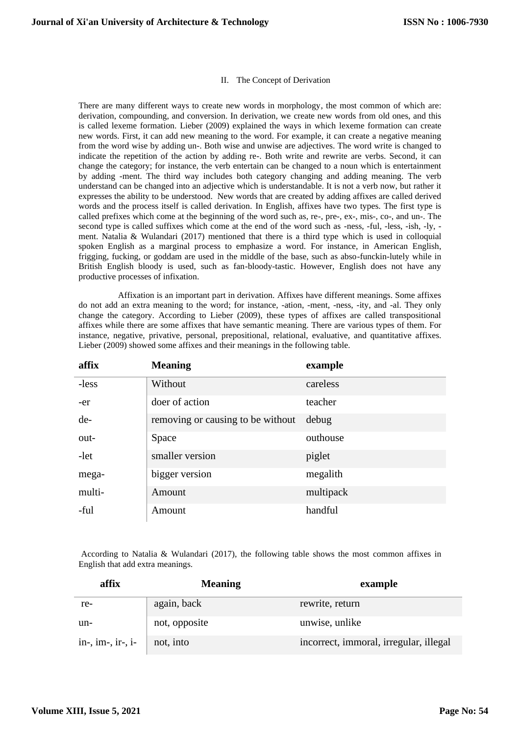#### II. The Concept of Derivation

There are many different ways to create new words in morphology, the most common of which are: derivation, compounding, and conversion. In derivation, we create new words from old ones, and this is called lexeme formation. Lieber (2009) explained the ways in which lexeme formation can create new words. First, it can add new meaning to the word. For example, it can create a negative meaning from the word wise by adding un-. Both wise and unwise are adjectives. The word write is changed to indicate the repetition of the action by adding re-. Both write and rewrite are verbs. Second, it can change the category; for instance, the verb entertain can be changed to a noun which is entertainment by adding -ment. The third way includes both category changing and adding meaning. The verb understand can be changed into an adjective which is understandable. It is not a verb now, but rather it expresses the ability to be understood. New words that are created by adding affixes are called derived words and the process itself is called derivation. In English, affixes have two types. The first type is called prefixes which come at the beginning of the word such as, re-, pre-, ex-, mis-, co-, and un-. The second type is called suffixes which come at the end of the word such as -ness, -ful, -less, -ish, -ly, ment. Natalia & Wulandari (2017) mentioned that there is a third type which is used in colloquial spoken English as a marginal process to emphasize a word. For instance, in American English, frigging, fucking, or goddam are used in the middle of the base, such as abso-funckin-lutely while in British English bloody is used, such as fan-bloody-tastic. However, English does not have any productive processes of infixation.

 Affixation is an important part in derivation. Affixes have different meanings. Some affixes do not add an extra meaning to the word; for instance, -ation, -ment, -ness, -ity, and -al. They only change the category. According to Lieber (2009), these types of affixes are called transpositional affixes while there are some affixes that have semantic meaning. There are various types of them. For instance, negative, privative, personal, prepositional, relational, evaluative, and quantitative affixes. Lieber (2009) showed some affixes and their meanings in the following table.

| affix  | <b>Meaning</b>                    | example   |
|--------|-----------------------------------|-----------|
| -less  | Without                           | careless  |
| -er    | doer of action                    | teacher   |
| de-    | removing or causing to be without | debug     |
| out-   | Space                             | outhouse  |
| -let   | smaller version                   | piglet    |
| mega-  | bigger version                    | megalith  |
| multi- | Amount                            | multipack |
| -ful   | Amount                            | handful   |

According to Natalia & Wulandari (2017), the following table shows the most common affixes in English that add extra meanings.

| affix               | <b>Meaning</b> | example                                |
|---------------------|----------------|----------------------------------------|
| re-                 | again, back    | rewrite, return                        |
| un-                 | not, opposite  | unwise, unlike                         |
| $in-, im-, ir-, i-$ | not, into      | incorrect, immoral, irregular, illegal |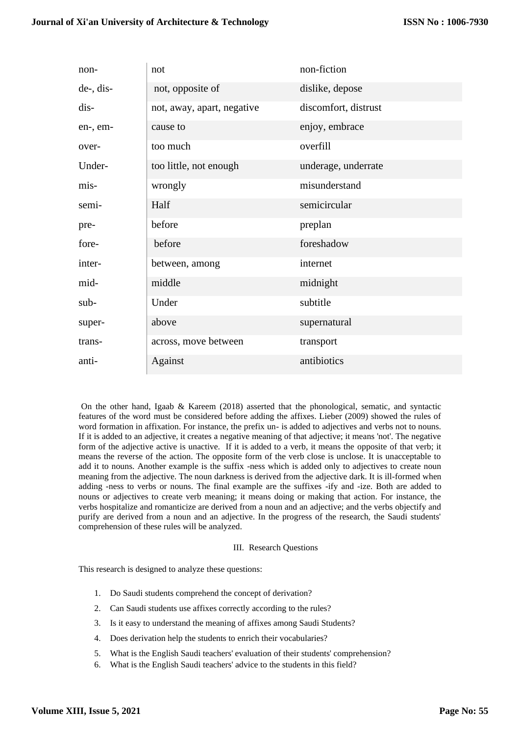| non-      | not                        | non-fiction          |
|-----------|----------------------------|----------------------|
| de-, dis- | not, opposite of           | dislike, depose      |
| dis-      | not, away, apart, negative | discomfort, distrust |
| en-, em-  | cause to                   | enjoy, embrace       |
| over-     | too much                   | overfill             |
| Under-    | too little, not enough     | underage, underrate  |
| mis-      | wrongly                    | misunderstand        |
| semi-     | Half                       | semicircular         |
| pre-      | before                     | preplan              |
| fore-     | before                     | foreshadow           |
| inter-    | between, among             | internet             |
| mid-      | middle                     | midnight             |
| sub-      | Under                      | subtitle             |
| super-    | above                      | supernatural         |
| trans-    | across, move between       | transport            |
| anti-     | Against                    | antibiotics          |

On the other hand, Igaab & Kareem (2018) asserted that the phonological, sematic, and syntactic features of the word must be considered before adding the affixes. Lieber (2009) showed the rules of word formation in affixation. For instance, the prefix un- is added to adjectives and verbs not to nouns. If it is added to an adjective, it creates a negative meaning of that adjective; it means 'not'. The negative form of the adjective active is unactive. If it is added to a verb, it means the opposite of that verb; it means the reverse of the action. The opposite form of the verb close is unclose. It is unacceptable to add it to nouns. Another example is the suffix -ness which is added only to adjectives to create noun meaning from the adjective. The noun darkness is derived from the adjective dark. It is ill-formed when adding -ness to verbs or nouns. The final example are the suffixes -ify and -ize. Both are added to nouns or adjectives to create verb meaning; it means doing or making that action. For instance, the verbs hospitalize and romanticize are derived from a noun and an adjective; and the verbs objectify and purify are derived from a noun and an adjective. In the progress of the research, the Saudi students' comprehension of these rules will be analyzed.

# III. Research Questions

This research is designed to analyze these questions:

- 1. Do Saudi students comprehend the concept of derivation?
- 2. Can Saudi students use affixes correctly according to the rules?
- 3. Is it easy to understand the meaning of affixes among Saudi Students?
- 4. Does derivation help the students to enrich their vocabularies?
- 5. What is the English Saudi teachers' evaluation of their students' comprehension?
- 6. What is the English Saudi teachers' advice to the students in this field?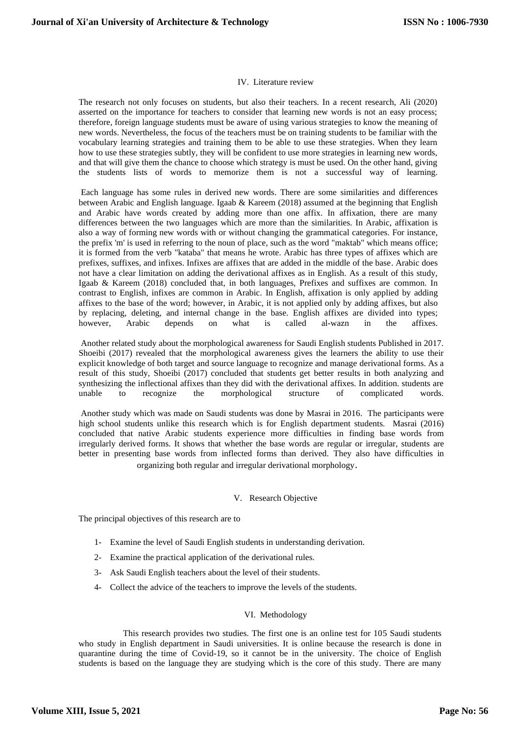### IV. Literature review

The research not only focuses on students, but also their teachers. In a recent research, Ali (2020) asserted on the importance for teachers to consider that learning new words is not an easy process; therefore, foreign language students must be aware of using various strategies to know the meaning of new words. Nevertheless, the focus of the teachers must be on training students to be familiar with the vocabulary learning strategies and training them to be able to use these strategies. When they learn how to use these strategies subtly, they will be confident to use more strategies in learning new words, and that will give them the chance to choose which strategy is must be used. On the other hand, giving the students lists of words to memorize them is not a successful way of learning.

Each language has some rules in derived new words. There are some similarities and differences between Arabic and English language. Igaab & Kareem (2018) assumed at the beginning that English and Arabic have words created by adding more than one affix. In affixation, there are many differences between the two languages which are more than the similarities. In Arabic, affixation is also a way of forming new words with or without changing the grammatical categories. For instance, the prefix 'm' is used in referring to the noun of place, such as the word "maktab" which means office; it is formed from the verb "kataba" that means he wrote. Arabic has three types of affixes which are prefixes, suffixes, and infixes. Infixes are affixes that are added in the middle of the base. Arabic does not have a clear limitation on adding the derivational affixes as in English. As a result of this study, Igaab & Kareem (2018) concluded that, in both languages, Prefixes and suffixes are common. In contrast to English, infixes are common in Arabic. In English, affixation is only applied by adding affixes to the base of the word; however, in Arabic, it is not applied only by adding affixes, but also by replacing, deleting, and internal change in the base. English affixes are divided into types; however, Arabic depends on what is called al-wazn in the affixes.

Another related study about the morphological awareness for Saudi English students Published in 2017. Shoeibi (2017) revealed that the morphological awareness gives the learners the ability to use their explicit knowledge of both target and source language to recognize and manage derivational forms. As a result of this study, Shoeibi (2017) concluded that students get better results in both analyzing and synthesizing the inflectional affixes than they did with the derivational affixes. In addition. students are unable to recognize the morphological structure of complicated words.

Another study which was made on Saudi students was done by Masrai in 2016. The participants were high school students unlike this research which is for English department students. Masrai (2016) concluded that native Arabic students experience more difficulties in finding base words from irregularly derived forms. It shows that whether the base words are regular or irregular, students are better in presenting base words from inflected forms than derived. They also have difficulties in organizing both regular and irregular derivational morphology.

#### V. Research Objective

The principal objectives of this research are to

- 1- Examine the level of Saudi English students in understanding derivation.
- 2- Examine the practical application of the derivational rules.
- 3- Ask Saudi English teachers about the level of their students.
- 4- Collect the advice of the teachers to improve the levels of the students.

# VI. Methodology

 This research provides two studies. The first one is an online test for 105 Saudi students who study in English department in Saudi universities. It is online because the research is done in quarantine during the time of Covid-19, so it cannot be in the university. The choice of English students is based on the language they are studying which is the core of this study. There are many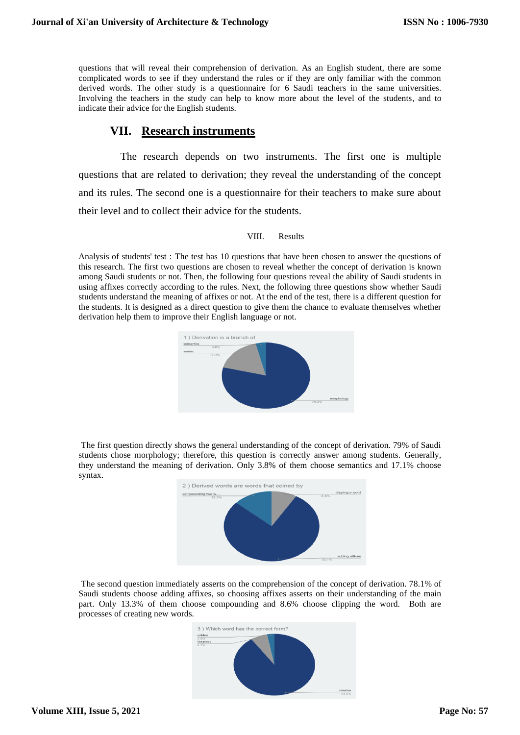questions that will reveal their comprehension of derivation. As an English student, there are some complicated words to see if they understand the rules or if they are only familiar with the common derived words. The other study is a questionnaire for 6 Saudi teachers in the same universities. Involving the teachers in the study can help to know more about the level of the students, and to indicate their advice for the English students.

# **VII. Research instruments**

 The research depends on two instruments. The first one is multiple questions that are related to derivation; they reveal the understanding of the concept and its rules. The second one is a questionnaire for their teachers to make sure about their level and to collect their advice for the students.

# VIII. Results

Analysis of students' test : The test has 10 questions that have been chosen to answer the questions of this research. The first two questions are chosen to reveal whether the concept of derivation is known among Saudi students or not. Then, the following four questions reveal the ability of Saudi students in using affixes correctly according to the rules. Next, the following three questions show whether Saudi students understand the meaning of affixes or not. At the end of the test, there is a different question for the students. It is designed as a direct question to give them the chance to evaluate themselves whether derivation help them to improve their English language or not.



The first question directly shows the general understanding of the concept of derivation. 79% of Saudi students chose morphology; therefore, this question is correctly answer among students. Generally, they understand the meaning of derivation. Only 3.8% of them choose semantics and 17.1% choose syntax.



The second question immediately asserts on the comprehension of the concept of derivation. 78.1% of Saudi students choose adding affixes, so choosing affixes asserts on their understanding of the main part. Only 13.3% of them choose compounding and 8.6% choose clipping the word. Both are processes of creating new words.

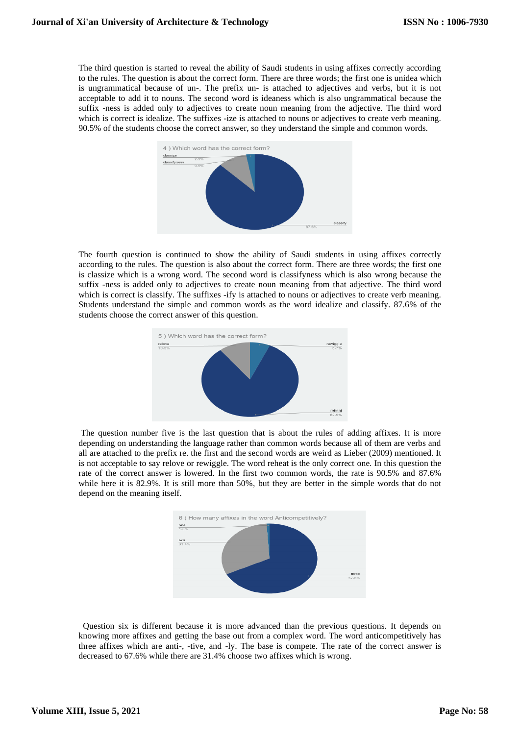The third question is started to reveal the ability of Saudi students in using affixes correctly according to the rules. The question is about the correct form. There are three words; the first one is unidea which is ungrammatical because of un-. The prefix un- is attached to adjectives and verbs, but it is not acceptable to add it to nouns. The second word is ideaness which is also ungrammatical because the suffix -ness is added only to adjectives to create noun meaning from the adjective. The third word which is correct is idealize. The suffixes -ize is attached to nouns or adjectives to create verb meaning. 90.5% of the students choose the correct answer, so they understand the simple and common words.



The fourth question is continued to show the ability of Saudi students in using affixes correctly according to the rules. The question is also about the correct form. There are three words; the first one is classize which is a wrong word. The second word is classifyness which is also wrong because the suffix -ness is added only to adjectives to create noun meaning from that adjective. The third word which is correct is classify. The suffixes -ify is attached to nouns or adjectives to create verb meaning. Students understand the simple and common words as the word idealize and classify. 87.6% of the students choose the correct answer of this question.



The question number five is the last question that is about the rules of adding affixes. It is more depending on understanding the language rather than common words because all of them are verbs and all are attached to the prefix re. the first and the second words are weird as Lieber (2009) mentioned. It is not acceptable to say relove or rewiggle. The word reheat is the only correct one. In this question the rate of the correct answer is lowered. In the first two common words, the rate is 90.5% and 87.6% while here it is 82.9%. It is still more than 50%, but they are better in the simple words that do not depend on the meaning itself.



 Question six is different because it is more advanced than the previous questions. It depends on knowing more affixes and getting the base out from a complex word. The word anticompetitively has three affixes which are anti-, -tive, and -ly. The base is compete. The rate of the correct answer is decreased to 67.6% while there are 31.4% choose two affixes which is wrong.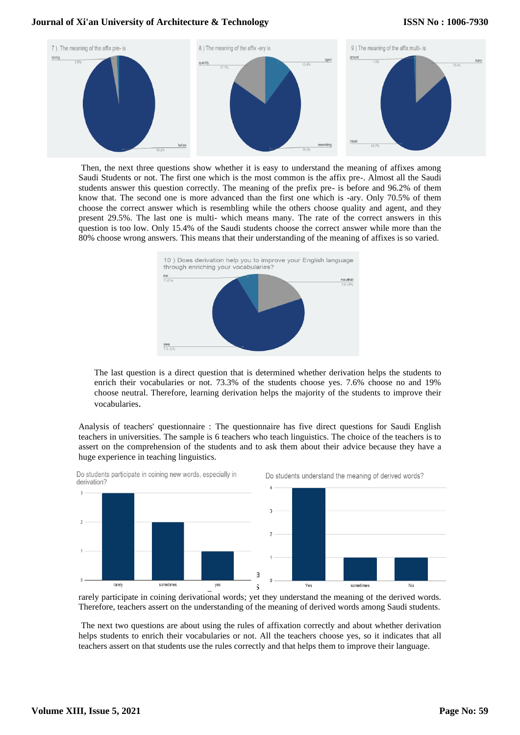# **Journal of Xi'an University of Architecture & Technology**

# **ISSN No : 1006-7930**



Then, the next three questions show whether it is easy to understand the meaning of affixes among Saudi Students or not. The first one which is the most common is the affix pre-. Almost all the Saudi students answer this question correctly. The meaning of the prefix pre- is before and 96.2% of them know that. The second one is more advanced than the first one which is -ary. Only 70.5% of them choose the correct answer which is resembling while the others choose quality and agent, and they present 29.5%. The last one is multi- which means many. The rate of the correct answers in this question is too low. Only 15.4% of the Saudi students choose the correct answer while more than the 80% choose wrong answers. This means that their understanding of the meaning of affixes is so varied.



The last question is a direct question that is determined whether derivation helps the students to enrich their vocabularies or not. 73.3% of the students choose yes. 7.6% choose no and 19% choose neutral. Therefore, learning derivation helps the majority of the students to improve their vocabularies.

Analysis of teachers' questionnaire : The questionnaire has five direct questions for Saudi English teachers in universities. The sample is 6 teachers who teach linguistics. The choice of the teachers is to assert on the comprehension of the students and to ask them about their advice because they have a huge experience in teaching linguistics.



Do students participate in coining new words, especially in derivation?

Do students understand the meaning of derived words?

rarely participate in coining derivational words; yet they understand the meaning of the derived words. Therefore, teachers assert on the understanding of the meaning of derived words among Saudi students.

The next two questions are about using the rules of affixation correctly and about whether derivation helps students to enrich their vocabularies or not. All the teachers choose yes, so it indicates that all teachers assert on that students use the rules correctly and that helps them to improve their language.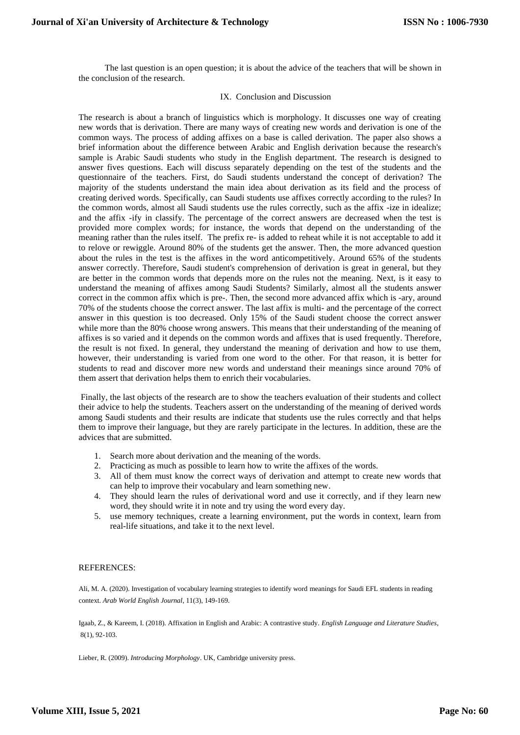The last question is an open question; it is about the advice of the teachers that will be shown in the conclusion of the research.

### IX. Conclusion and Discussion

The research is about a branch of linguistics which is morphology. It discusses one way of creating new words that is derivation. There are many ways of creating new words and derivation is one of the common ways. The process of adding affixes on a base is called derivation. The paper also shows a brief information about the difference between Arabic and English derivation because the research's sample is Arabic Saudi students who study in the English department. The research is designed to answer fives questions. Each will discuss separately depending on the test of the students and the questionnaire of the teachers. First, do Saudi students understand the concept of derivation? The majority of the students understand the main idea about derivation as its field and the process of creating derived words. Specifically, can Saudi students use affixes correctly according to the rules? In the common words, almost all Saudi students use the rules correctly, such as the affix -ize in idealize; and the affix -ify in classify. The percentage of the correct answers are decreased when the test is provided more complex words; for instance, the words that depend on the understanding of the meaning rather than the rules itself. The prefix re- is added to reheat while it is not acceptable to add it to relove or rewiggle. Around 80% of the students get the answer. Then, the more advanced question about the rules in the test is the affixes in the word anticompetitively. Around 65% of the students answer correctly. Therefore, Saudi student's comprehension of derivation is great in general, but they are better in the common words that depends more on the rules not the meaning. Next, is it easy to understand the meaning of affixes among Saudi Students? Similarly, almost all the students answer correct in the common affix which is pre-. Then, the second more advanced affix which is -ary, around 70% of the students choose the correct answer. The last affix is multi- and the percentage of the correct answer in this question is too decreased. Only 15% of the Saudi student choose the correct answer while more than the 80% choose wrong answers. This means that their understanding of the meaning of affixes is so varied and it depends on the common words and affixes that is used frequently. Therefore, the result is not fixed. In general, they understand the meaning of derivation and how to use them, however, their understanding is varied from one word to the other. For that reason, it is better for students to read and discover more new words and understand their meanings since around 70% of them assert that derivation helps them to enrich their vocabularies.

Finally, the last objects of the research are to show the teachers evaluation of their students and collect their advice to help the students. Teachers assert on the understanding of the meaning of derived words among Saudi students and their results are indicate that students use the rules correctly and that helps them to improve their language, but they are rarely participate in the lectures. In addition, these are the advices that are submitted.

- 1. Search more about derivation and the meaning of the words.
- 2. Practicing as much as possible to learn how to write the affixes of the words.
- 3. All of them must know the correct ways of derivation and attempt to create new words that can help to improve their vocabulary and learn something new.
- 4. They should learn the rules of derivational word and use it correctly, and if they learn new word, they should write it in note and try using the word every day.
- 5. use memory techniques, create a learning environment, put the words in context, learn from real-life situations, and take it to the next level.

#### REFERENCES:

Ali, M. A. (2020). Investigation of vocabulary learning strategies to identify word meanings for Saudi EFL students in reading context. *Arab World English Journal*, 11(3), 149-169.

Igaab, Z., & Kareem, I. (2018). Affixation in English and Arabic: A contrastive study. *English Language and Literature Studies*, 8(1), 92-103.

Lieber, R. (2009). *Introducing Morphology*. UK, Cambridge university press.